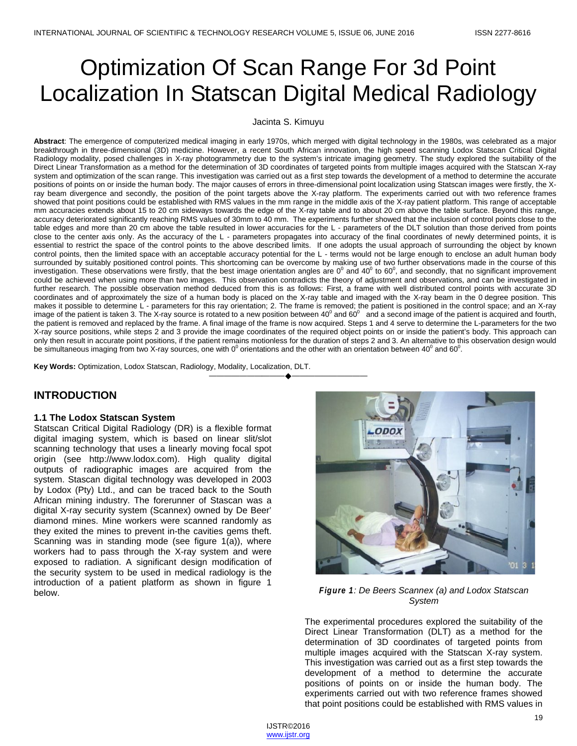# Optimization Of Scan Range For 3d Point Localization In Statscan Digital Medical Radiology

#### Jacinta S. Kimuyu

**Abstract**: The emergence of computerized medical imaging in early 1970s, which merged with digital technology in the 1980s, was celebrated as a major breakthrough in three-dimensional (3D) medicine. However, a recent South African innovation, the high speed scanning Lodox Statscan Critical Digital Radiology modality, posed challenges in X-ray photogrammetry due to the system's intricate imaging geometry. The study explored the suitability of the Direct Linear Transformation as a method for the determination of 3D coordinates of targeted points from multiple images acquired with the Statscan X-ray system and optimization of the scan range. This investigation was carried out as a first step towards the development of a method to determine the accurate positions of points on or inside the human body. The major causes of errors in three-dimensional point localization using Statscan images were firstly, the Xray beam divergence and secondly, the position of the point targets above the X-ray platform. The experiments carried out with two reference frames showed that point positions could be established with RMS values in the mm range in the middle axis of the X-ray patient platform. This range of acceptable mm accuracies extends about 15 to 20 cm sideways towards the edge of the X-ray table and to about 20 cm above the table surface. Beyond this range, accuracy deteriorated significantly reaching RMS values of 30mm to 40 mm. The experiments further showed that the inclusion of control points close to the table edges and more than 20 cm above the table resulted in lower accuracies for the L - parameters of the DLT solution than those derived from points close to the center axis only. As the accuracy of the L - parameters propagates into accuracy of the final coordinates of newly determined points, it is essential to restrict the space of the control points to the above described limits. If one adopts the usual approach of surrounding the object by known control points, then the limited space with an acceptable accuracy potential for the L - terms would not be large enough to enclose an adult human body surrounded by suitably positioned control points. This shortcoming can be overcome by making use of two further observations made in the course of this investigation. These observations were firstly, that the best image orientation angles are  $0^{\circ}$  and  $40^{\circ}$  to  $60^{\circ}$ , and secondly, that no significant improvement could be achieved when using more than two images. This observation contradicts the theory of adjustment and observations, and can be investigated in further research. The possible observation method deduced from this is as follows: First, a frame with well distributed control points with accurate 3D coordinates and of approximately the size of a human body is placed on the X-ray table and imaged with the X-ray beam in the 0 degree position. This makes it possible to determine L - parameters for this ray orientation; 2. The frame is removed; the patient is positioned in the control space; and an X-ray image of the patient is taken 3. The X-ray source is rotated to a new position between  $40^{\circ}$  and 60<sup>0</sup> and a second image of the patient is acquired and fourth, the patient is removed and replaced by the frame. A final image of the frame is now acquired. Steps 1 and 4 serve to determine the L-parameters for the two X-ray source positions, while steps 2 and 3 provide the image coordinates of the required object points on or inside the patient's body. This approach can only then result in accurate point positions, if the patient remains motionless for the duration of steps 2 and 3. An alternative to this observation design would be simultaneous imaging from two X-ray sources, one with 0<sup>0</sup> orientations and the other with an orientation between 40<sup>0</sup> and 60<sup>0</sup>.

**Key Words:** Optimization, Lodox Statscan, Radiology, Modality, Localization, DLT.

# **INTRODUCTION**

#### **1.1 The Lodox Statscan System**

Statscan Critical Digital Radiology (DR) is a flexible format digital imaging system, which is based on linear slit/slot scanning technology that uses a linearly moving focal spot origin (see http://www.lodox.com). High quality digital outputs of radiographic images are acquired from the system. Stascan digital technology was developed in 2003 by Lodox (Pty) Ltd., and can be traced back to the South African mining industry. The forerunner of Stascan was a digital X-ray security system (Scannex) owned by De Beer' diamond mines. Mine workers were scanned randomly as they exited the mines to prevent in-the cavities gems theft. Scanning was in standing mode (see figure 1(a)), where workers had to pass through the X-ray system and were exposed to radiation. A significant design modification of the security system to be used in medical radiology is the introduction of a patient platform as shown in figure 1 below. *Figure 1: De Beers Scannex (a) and Lodox Statscan* 



*System*

The experimental procedures explored the suitability of the Direct Linear Transformation (DLT) as a method for the determination of 3D coordinates of targeted points from multiple images acquired with the Statscan X-ray system. This investigation was carried out as a first step towards the development of a method to determine the accurate positions of points on or inside the human body. The experiments carried out with two reference frames showed that point positions could be established with RMS values in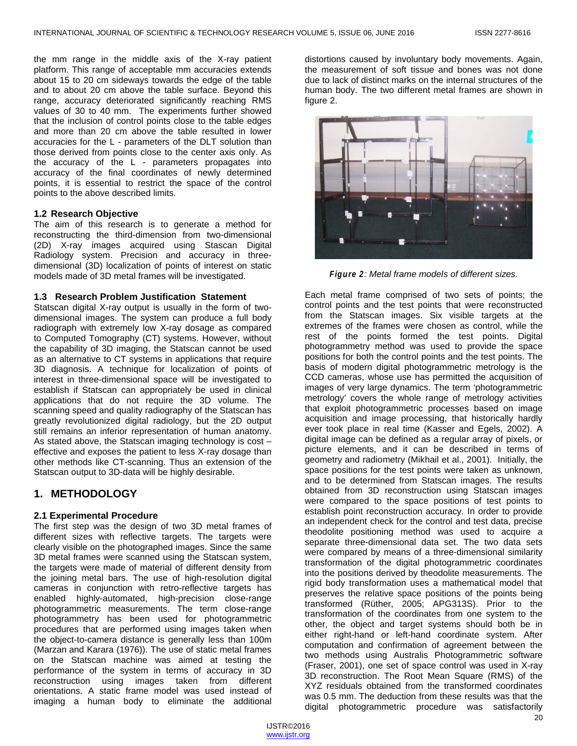the mm range in the middle axis of the X-ray patient platform. This range of acceptable mm accuracies extends about 15 to 20 cm sideways towards the edge of the table and to about 20 cm above the table surface. Beyond this range, accuracy deteriorated significantly reaching RMS values of 30 to 40 mm. The experiments further showed that the inclusion of control points close to the table edges and more than 20 cm above the table resulted in lower accuracies for the L - parameters of the DLT solution than those derived from points close to the center axis only. As the accuracy of the L - parameters propagates into accuracy of the final coordinates of newly determined points, it is essential to restrict the space of the control points to the above described limits.

#### **1.2 Research Objective**

The aim of this research is to generate a method for reconstructing the third-dimension from two-dimensional (2D) X-ray images acquired using Stascan Digital Radiology system. Precision and accuracy in threedimensional (3D) localization of points of interest on static models made of 3D metal frames will be investigated.

## **1.3 Research Problem Justification Statement**

Statscan digital X-ray output is usually in the form of twodimensional images. The system can produce a full body radiograph with extremely low X-ray dosage as compared to Computed Tomography (CT) systems. However, without the capability of 3D imaging, the Statscan cannot be used as an alternative to CT systems in applications that require 3D diagnosis. A technique for localization of points of interest in three-dimensional space will be investigated to establish if Statscan can appropriately be used in clinical applications that do not require the 3D volume. The scanning speed and quality radiography of the Statscan has greatly revolutionized digital radiology, but the 2D output still remains an inferior representation of human anatomy. As stated above, the Statscan imaging technology is cost – effective and exposes the patient to less X-ray dosage than other methods like CT-scanning. Thus an extension of the Statscan output to 3D-data will be highly desirable.

# **1. METHODOLOGY**

## **2.1 Experimental Procedure**

The first step was the design of two 3D metal frames of different sizes with reflective targets. The targets were clearly visible on the photographed images. Since the same 3D metal frames were scanned using the Statscan system, the targets were made of material of different density from the joining metal bars. The use of high-resolution digital cameras in conjunction with retro-reflective targets has enabled highly-automated, high-precision close-range photogrammetric measurements. The term close-range photogrammetry has been used for photogrammetric procedures that are performed using images taken when the object-to-camera distance is generally less than 100m (Marzan and Karara (1976)). The use of static metal frames on the Statscan machine was aimed at testing the performance of the system in terms of accuracy in 3D reconstruction using images taken from different orientations. A static frame model was used instead of imaging a human body to eliminate the additional

distortions caused by involuntary body movements. Again, the measurement of soft tissue and bones was not done due to lack of distinct marks on the internal structures of the human body. The two different metal frames are shown in figure 2.



*Figure 2: Metal frame models of different sizes.*

Each metal frame comprised of two sets of points; the control points and the test points that were reconstructed from the Statscan images. Six visible targets at the extremes of the frames were chosen as control, while the rest of the points formed the test points. Digital photogrammetry method was used to provide the space positions for both the control points and the test points. The basis of modern digital photogrammetric metrology is the CCD cameras, whose use has permitted the acquisition of images of very large dynamics. The term 'photogrammetric metrology' covers the whole range of metrology activities that exploit photogrammetric processes based on image acquisition and image processing, that historically hardly ever took place in real time (Kasser and Egels, 2002). A digital image can be defined as a regular array of pixels, or picture elements, and it can be described in terms of geometry and radiometry (Mikhail et al., 2001). Initially, the space positions for the test points were taken as unknown, and to be determined from Statscan images. The results obtained from 3D reconstruction using Statscan images were compared to the space positions of test points to establish point reconstruction accuracy. In order to provide an independent check for the control and test data, precise theodolite positioning method was used to acquire a separate three-dimensional data set. The two data sets were compared by means of a three-dimensional similarity transformation of the digital photogrammetric coordinates into the positions derived by theodolite measurements. The rigid body transformation uses a mathematical model that preserves the relative space positions of the points being transformed (Rüther, 2005; APG313S). Prior to the transformation of the coordinates from one system to the other, the object and target systems should both be in either right-hand or left-hand coordinate system. After computation and confirmation of agreement between the two methods using Australis Photogrammetric software (Fraser, 2001), one set of space control was used in X-ray 3D reconstruction. The Root Mean Square (RMS) of the XYZ residuals obtained from the transformed coordinates was 0.5 mm. The deduction from these results was that the digital photogrammetric procedure was satisfactorily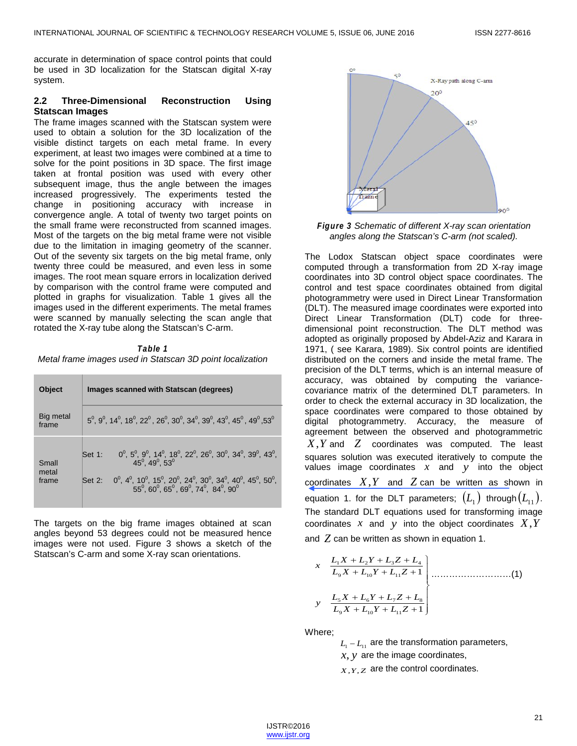accurate in determination of space control points that could be used in 3D localization for the Statscan digital X-ray system.

## **2.2 Three-Dimensional Reconstruction Using Statscan Images**

The frame images scanned with the Statscan system were used to obtain a solution for the 3D localization of the visible distinct targets on each metal frame. In every experiment, at least two images were combined at a time to solve for the point positions in 3D space. The first image taken at frontal position was used with every other subsequent image, thus the angle between the images increased progressively. The experiments tested the change in positioning accuracy with increase in convergence angle. A total of twenty two target points on the small frame were reconstructed from scanned images. Most of the targets on the big metal frame were not visible due to the limitation in imaging geometry of the scanner. Out of the seventy six targets on the big metal frame, only twenty three could be measured, and even less in some images. The root mean square errors in localization derived by comparison with the control frame were computed and plotted in graphs for visualization. Table 1 gives all the images used in the different experiments. The metal frames were scanned by manually selecting the scan angle that rotated the X-ray tube along the Statscan's C-arm.

#### *Table 1 Metal frame images used in Statscan 3D point localization*

| <b>Object</b>           | Images scanned with Statscan (degrees)                                                                                                                                                                                                                                                                           |
|-------------------------|------------------------------------------------------------------------------------------------------------------------------------------------------------------------------------------------------------------------------------------------------------------------------------------------------------------|
| Big metal<br>frame      | $5^0$ , $9^0$ , $14^0$ , $18^0$ , $22^0$ , $26^0$ , $30^0$ , $34^0$ , $39^0$ , $43^0$ , $45^0$ , $49^0$ , $53^0$                                                                                                                                                                                                 |
| Small<br>metal<br>frame | Set 1: $0^0$ , $5^0$ , $9^0$ , $14^0$ , $18^0$ , $22^0$ , $26^0$ , $30^0$ , $34^0$ , $39^0$ , $43^0$ , $45^0$ , $49^0$ , $53^0$<br>$0^0$ , $4^0$ , $10^0$ , $15^0$ , $20^0$ , $24^0$ , $30^0$ , $34^0$ , $40^0$ , $45^0$ , $50^0$ ,<br>$55^0$ , $60^0$ , $65^0$ , $69^0$ , $74^0$ , $84^0$ , $90^0$<br>$Set 2$ : |

The targets on the big frame images obtained at scan angles beyond 53 degrees could not be measured hence images were not used. Figure 3 shows a sketch of the Statscan's C-arm and some X-ray scan orientations.



*Figure 3 Schematic of different X-ray scan orientation angles along the Statscan's C-arm (not scaled).*

The Lodox Statscan object space coordinates were computed through a transformation from 2D X-ray image coordinates into 3D control object space coordinates. The control and test space coordinates obtained from digital photogrammetry were used in Direct Linear Transformation (DLT). The measured image coordinates were exported into Direct Linear Transformation (DLT) code for threedimensional point reconstruction. The DLT method was adopted as originally proposed by Abdel-Aziz and Karara in 1971, ( see Karara, 1989). Six control points are identified distributed on the corners and inside the metal frame. The precision of the DLT terms, which is an internal measure of accuracy, was obtained by computing the variancecovariance matrix of the determined DLT parameters. In order to check the external accuracy in 3D localization, the space coordinates were compared to those obtained by digital photogrammetry. Accuracy, the measure of agreement between the observed and photogrammetric *X*,*Y* and *Z* coordinates was computed. The least squares solution was executed iteratively to compute the values image coordinates *x* and *y* into the object coordinates  $X, Y$  and  $Z$  can be written as shown in equation 1. for the DLT parameters;  $(L_{1})$  through  $(L_{11})$ . The standard DLT equations used for transforming image coordinates *x* and *y* into the object coordinates *X*,*Y* and *Z* can be written as shown in equation 1.

$$
x \quad \frac{L_1X + L_2Y + L_3Z + L_4}{L_9X + L_{10}Y + L_{11}Z + 1}
$$
\n
$$
y \quad \frac{L_5X + L_6Y + L_7Z + L_8}{L_9X + L_{10}Y + L_{11}Z + 1}
$$
\n(1)

Where;

 $L_1 - L_{11}$  are the transformation parameters,

*x*, *y* are the image coordinates,

*X*,*Y*,*Z* are the control coordinates.

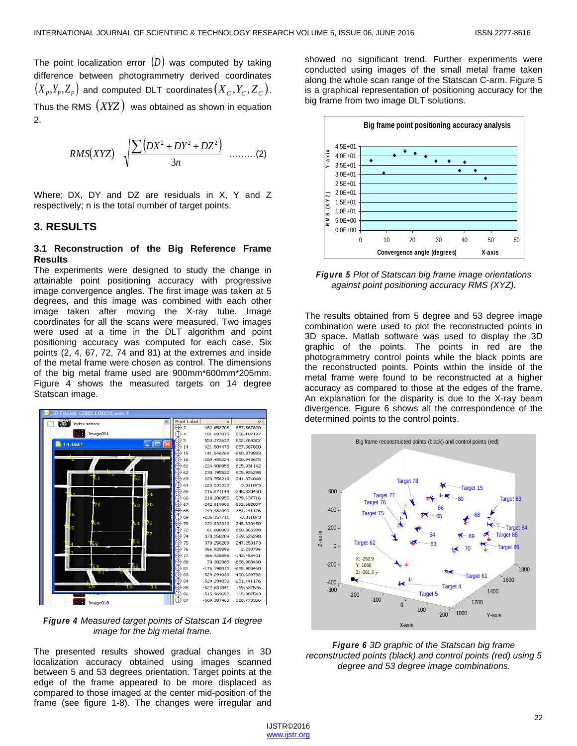The point localization error  $(D)$  was computed by taking difference between photogrammetry derived coordinates  $(X_P, Y_P, Z_P)$  and computed DLT coordinates  $(X_C, Y_C, Z_C)$ . Thus the RMS (*XYZ* ) was obtained as shown in equation 2.

$$
RMS(XYZ) \sqrt{\frac{\sum (DX^2 + DY^2 + DZ^2)}{3n}}
$$
 ......(2)

Where; DX, DY and DZ are residuals in X, Y and Z respectively; n is the total number of target points.

## **3. RESULTS**

## **3.1 Reconstruction of the Big Reference Frame Results**

The experiments were designed to study the change in attainable point positioning accuracy with progressive image convergence angles. The first image was taken at 5 degrees, and this image was combined with each other image taken after moving the X-ray tube. Image coordinates for all the scans were measured. Two images were used at a time in the DLT algorithm and point positioning accuracy was computed for each case. Six points (2, 4, 67, 72, 74 and 81) at the extremes and inside of the metal frame were chosen as control. The dimensions of the big metal frame used are 900mm\*600mm\*205mm. Figure 4 shows the measured targets on 14 degree Statscan image.



*Figure 4 Measured target points of Statscan 14 degree image for the big metal frame.*

The presented results showed gradual changes in 3D localization accuracy obtained using images scanned between 5 and 53 degrees orientation. Target points at the edge of the frame appeared to be more displaced as compared to those imaged at the center mid-position of the frame (see figure 1-8). The changes were irregular and showed no significant trend. Further experiments were conducted using images of the small metal frame taken along the whole scan range of the Statscan C-arm. Figure 5 is a graphical representation of positioning accuracy for the big frame from two image DLT solutions.



*Figure 5 Plot of Statscan big frame image orientations against point positioning accuracy RMS (XYZ).*

The results obtained from 5 degree and 53 degree image combination were used to plot the reconstructed points in 3D space. Matlab software was used to display the 3D graphic of the points. The points in red are the photogrammetry control points while the black points are the reconstructed points. Points within the inside of the metal frame were found to be reconstructed at a higher accuracy as compared to those at the edges of the frame. An explanation for the disparity is due to the X-ray beam divergence. Figure 6 shows all the correspondence of the determined points to the control points.



*Figure 6 3D graphic of the Statscan big frame reconstructed points (black) and control points (red) using 5 degree and 53 degree image combinations.*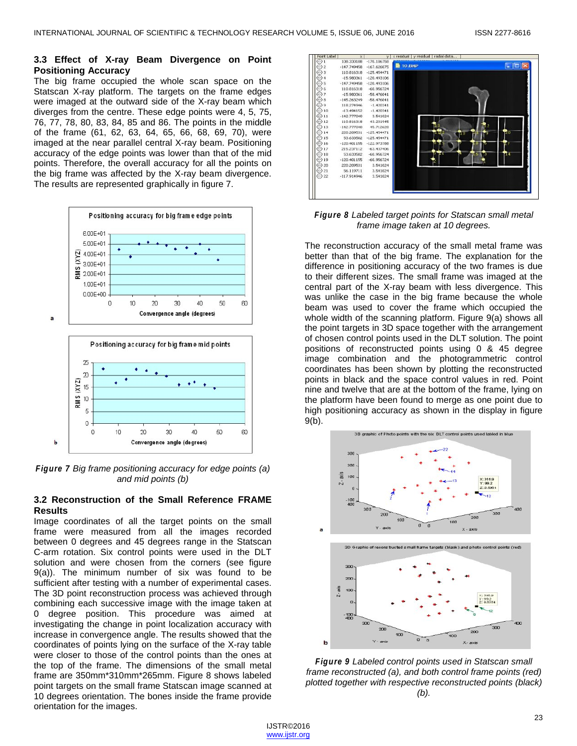#### **3.3 Effect of X-ray Beam Divergence on Point Positioning Accuracy**

The big frame occupied the whole scan space on the Statscan X-ray platform. The targets on the frame edges were imaged at the outward side of the X-ray beam which diverges from the centre. These edge points were 4, 5, 75, 76, 77, 78, 80, 83, 84, 85 and 86. The points in the middle of the frame (61, 62, 63, 64, 65, 66, 68, 69, 70), were imaged at the near parallel central X-ray beam. Positioning accuracy of the edge points was lower than that of the mid points. Therefore, the overall accuracy for all the points on the big frame was affected by the X-ray beam divergence. The results are represented graphically in figure 7.



*Figure 7 Big frame positioning accuracy for edge points (a) and mid points (b)*

Convergence angle (degrees)

 $\mathbf b$ 

## **3.2 Reconstruction of the Small Reference FRAME Results**

Image coordinates of all the target points on the small frame were measured from all the images recorded between 0 degrees and 45 degrees range in the Statscan C-arm rotation. Six control points were used in the DLT solution and were chosen from the corners (see figure 9(a)). The minimum number of six was found to be sufficient after testing with a number of experimental cases. The 3D point reconstruction process was achieved through combining each successive image with the image taken at 0 degree position. This procedure was aimed at investigating the change in point localization accuracy with increase in convergence angle. The results showed that the coordinates of points lying on the surface of the X-ray table were closer to those of the control points than the ones at the top of the frame. The dimensions of the small metal frame are 350mm\*310mm\*265mm. Figure 8 shows labeled point targets on the small frame Statscan image scanned at 10 degrees orientation. The bones inside the frame provide orientation for the images.



*Figure 8 Labeled target points for Statscan small metal frame image taken at 10 degrees.*

The reconstruction accuracy of the small metal frame was better than that of the big frame. The explanation for the difference in positioning accuracy of the two frames is due to their different sizes. The small frame was imaged at the central part of the X-ray beam with less divergence. This was unlike the case in the big frame because the whole beam was used to cover the frame which occupied the whole width of the scanning platform. Figure 9(a) shows all the point targets in 3D space together with the arrangement of chosen control points used in the DLT solution. The point positions of reconstructed points using 0 & 45 degree image combination and the photogrammetric control coordinates has been shown by plotting the reconstructed points in black and the space control values in red. Point nine and twelve that are at the bottom of the frame, lying on the platform have been found to merge as one point due to high positioning accuracy as shown in the display in figure 9(b).



*Figure 9 Labeled control points used in Statscan small frame reconstructed (a), and both control frame points (red) plotted together with respective reconstructed points (black) (b).*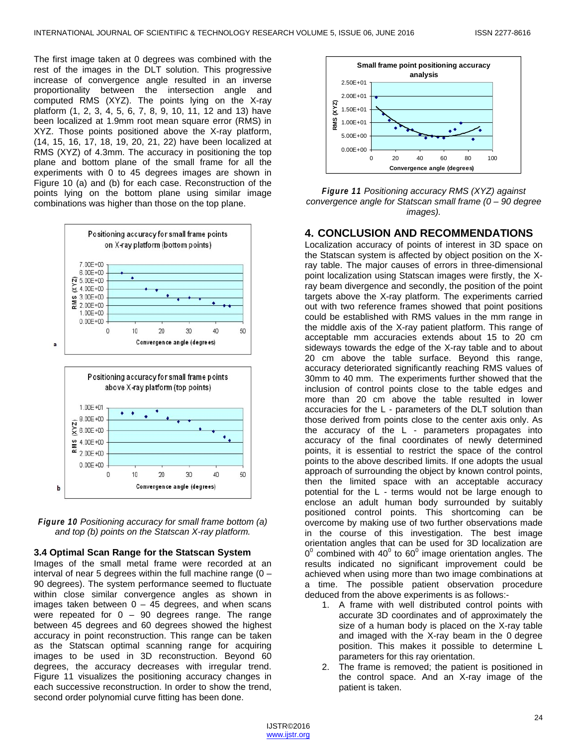The first image taken at 0 degrees was combined with the rest of the images in the DLT solution. This progressive increase of convergence angle resulted in an inverse proportionality between the intersection angle and computed RMS (XYZ). The points lying on the X-ray platform (1, 2, 3, 4, 5, 6, 7, 8, 9, 10, 11, 12 and 13) have been localized at 1.9mm root mean square error (RMS) in XYZ. Those points positioned above the X-ray platform, (14, 15, 16, 17, 18, 19, 20, 21, 22) have been localized at RMS (XYZ) of 4.3mm. The accuracy in positioning the top plane and bottom plane of the small frame for all the experiments with 0 to 45 degrees images are shown in Figure 10 (a) and (b) for each case. Reconstruction of the points lying on the bottom plane using similar image combinations was higher than those on the top plane.



*Figure 10 Positioning accuracy for small frame bottom (a) and top (b) points on the Statscan X-ray platform.*

#### **3.4 Optimal Scan Range for the Statscan System**

Images of the small metal frame were recorded at an interval of near 5 degrees within the full machine range  $(0 -$ 90 degrees). The system performance seemed to fluctuate within close similar convergence angles as shown in images taken between  $0 - 45$  degrees, and when scans were repeated for  $0 - 90$  degrees range. The range between 45 degrees and 60 degrees showed the highest accuracy in point reconstruction. This range can be taken as the Statscan optimal scanning range for acquiring images to be used in 3D reconstruction. Beyond 60 degrees, the accuracy decreases with irregular trend. Figure 11 visualizes the positioning accuracy changes in each successive reconstruction. In order to show the trend, second order polynomial curve fitting has been done.



*Figure 11 Positioning accuracy RMS (XYZ) against convergence angle for Statscan small frame (0 – 90 degree images).*

#### **4. CONCLUSION AND RECOMMENDATIONS**

Localization accuracy of points of interest in 3D space on the Statscan system is affected by object position on the Xray table. The major causes of errors in three-dimensional point localization using Statscan images were firstly, the Xray beam divergence and secondly, the position of the point targets above the X-ray platform. The experiments carried out with two reference frames showed that point positions could be established with RMS values in the mm range in the middle axis of the X-ray patient platform. This range of acceptable mm accuracies extends about 15 to 20 cm sideways towards the edge of the X-ray table and to about 20 cm above the table surface. Beyond this range, accuracy deteriorated significantly reaching RMS values of 30mm to 40 mm. The experiments further showed that the inclusion of control points close to the table edges and more than 20 cm above the table resulted in lower accuracies for the L - parameters of the DLT solution than those derived from points close to the center axis only. As the accuracy of the L - parameters propagates into accuracy of the final coordinates of newly determined points, it is essential to restrict the space of the control points to the above described limits. If one adopts the usual approach of surrounding the object by known control points, then the limited space with an acceptable accuracy potential for the L - terms would not be large enough to enclose an adult human body surrounded by suitably positioned control points. This shortcoming can be overcome by making use of two further observations made in the course of this investigation. The best image orientation angles that can be used for 3D localization are  $0^0$  combined with  $40^0$  to  $60^0$  image orientation angles. The results indicated no significant improvement could be achieved when using more than two image combinations at a time. The possible patient observation procedure deduced from the above experiments is as follows:-

- 1. A frame with well distributed control points with accurate 3D coordinates and of approximately the size of a human body is placed on the X-ray table and imaged with the X-ray beam in the 0 degree position. This makes it possible to determine L parameters for this ray orientation.
- 2. The frame is removed; the patient is positioned in the control space. And an X-ray image of the patient is taken.